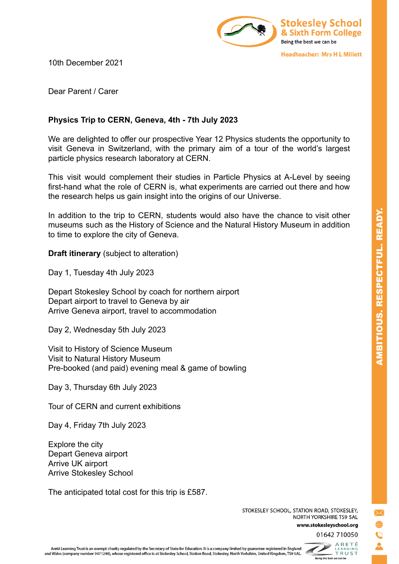

10th December 2021

Dear Parent / Carer

## **Physics Trip to CERN, Geneva, 4th - 7th July 2023**

We are delighted to offer our prospective Year 12 Physics students the opportunity to visit Geneva in Switzerland, with the primary aim of a tour of the world's largest particle physics research laboratory at CERN.

This visit would complement their studies in Particle Physics at A-Level by seeing first-hand what the role of CERN is, what experiments are carried out there and how the research helps us gain insight into the origins of our Universe.

In addition to the trip to CERN, students would also have the chance to visit other museums such as the History of Science and the Natural History Museum in addition to time to explore the city of Geneva.

**Draft itinerary** (subject to alteration)

Day 1, Tuesday 4th July 2023

Depart Stokesley School by coach for northern airport Depart airport to travel to Geneva by air Arrive Geneva airport, travel to accommodation

Day 2, Wednesday 5th July 2023

Visit to History of Science Museum Visit to Natural History Museum Pre-booked (and paid) evening meal & game of bowling

Day 3, Thursday 6th July 2023

Tour of CERN and current exhibitions

Day 4, Friday 7th July 2023

Explore the city Depart Geneva airport Arrive UK airport Arrive Stokesley School

The anticipated total cost for this trip is £587.

STOKESLEY SCHOOL, STATION ROAD, STOKESLEY, NORTH YORKSHIRE TS9 5AL www.stokesleyschool.org



AMBITIOUS. RESPECTFUL. READY.